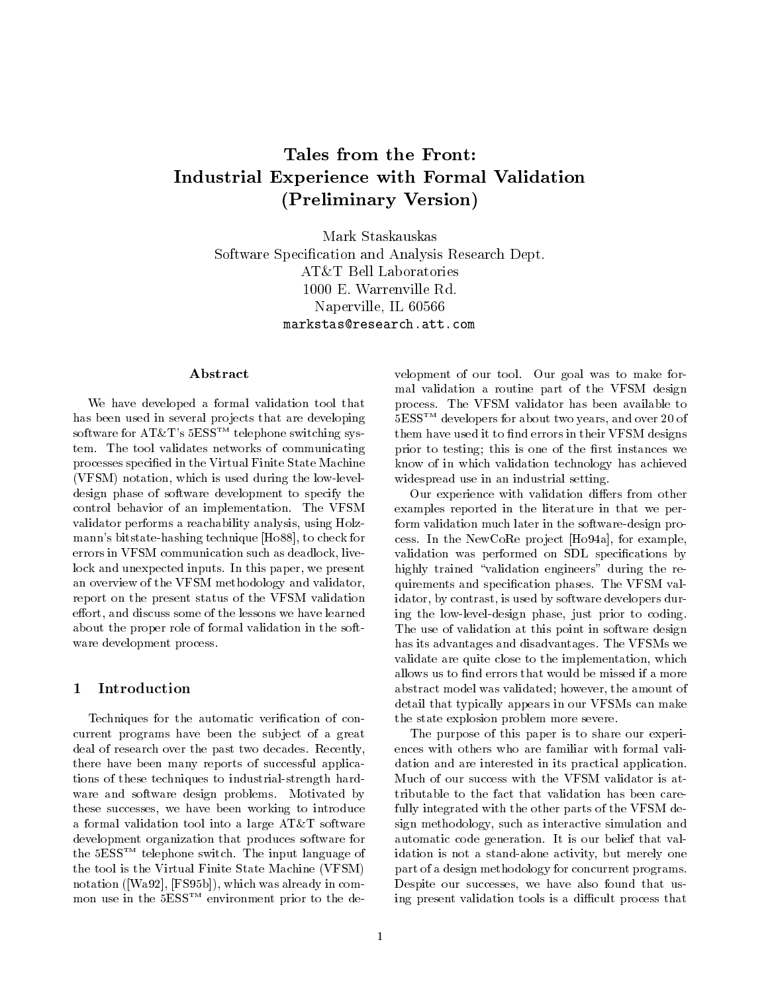# Tales from the Front: Industrial Experience with Formal Validation (Preliminary Version)

Mark Staskauskas Software Specication and Analysis Research Dept. AT&T Bell Laboratories 1000 E. Warrenville Rd. Naperville, IL 60566 markstas@research.att.com

## Abstract

We have developed a formal validation tool that has been used in several projects that are developing software for AT&T's  $5ESS^{TM}$  telephone switching system. The tool validates networks of communicating processes specied in the Virtual Finite State Machine (VFSM) notation, which is used during the low-leveldesign phase of software development to specify the control behavior of an implementation. The VFSM validator performs a reachability analysis, using Holzmann's bitstate-hashing technique [Ho88], to check for errors in VFSM communication such as deadlock, livelock and unexpected inputs. In this paper, we present an overview of the VFSM methodology and validator, report on the present status of the VFSM validation effort, and discuss some of the lessons we have learned about the proper role of formal validation in the soft ware development process.

## <sup>1</sup> Introduction

Techniques for the automatic verification of concurrent programs have been the sub ject of a great deal of research over the past two decades. Recently, there have been many reports of successful applications of these techniques to industrial-strength hard ware and software design problems. Motivated by these successes, we have been working to introduce a formal validation tool into a large AT&T software development organization that produces software for the 5ESSTM telephone switch. The input language of the tool is the Virtual Finite State Machine (VFSM) notation ([Wa92], [FS95b]), which was already in common use in the 5ESS." environment prior to the development of our tool. Our goal was to make formal validation a routine part of the VFSM design process. The VFSM validator has been available to 5ESSTM developers for about two years, and over 20 of them have used it to find errors in their VFSM designs prior to testing; this is one of the first instances we know of in which validation technology has achieved widespread use in an industrial setting.

Our experience with validation differs from other examples reported in the literature in that we perform validation much later in the software-design pro cess. In the NewCoRe project [Ho94a], for example, validation was performed on SDL specifications by highly trained "validation engineers" during the requirements and specication phases. The VFSM validator, by contrast, is used by software developers during the low-level-design phase, just prior to coding. The use of validation at this point in software design has its advantages and disadvantages. The VFSMs we validate are quite close to the implementation, which allows us to find errors that would be missed if a more abstract model was validated; however, the amount of detail that typically appears in our VFSMs can make the state explosion problem more severe.

The purpose of this paper is to share our experi ences with others who are familiar with formal validation and are interested in its practical application. Much of our success with the VFSM validator is attributable to the fact that validation has been carefully integrated with the other parts of the VFSM design methodology, such as interactive simulation and automatic code generation. It is our belief that validation is not a stand-alone activity, but merely one part of a design methodology for concurrent programs. Despite our successes, we have also found that using present validation tools is a difficult process that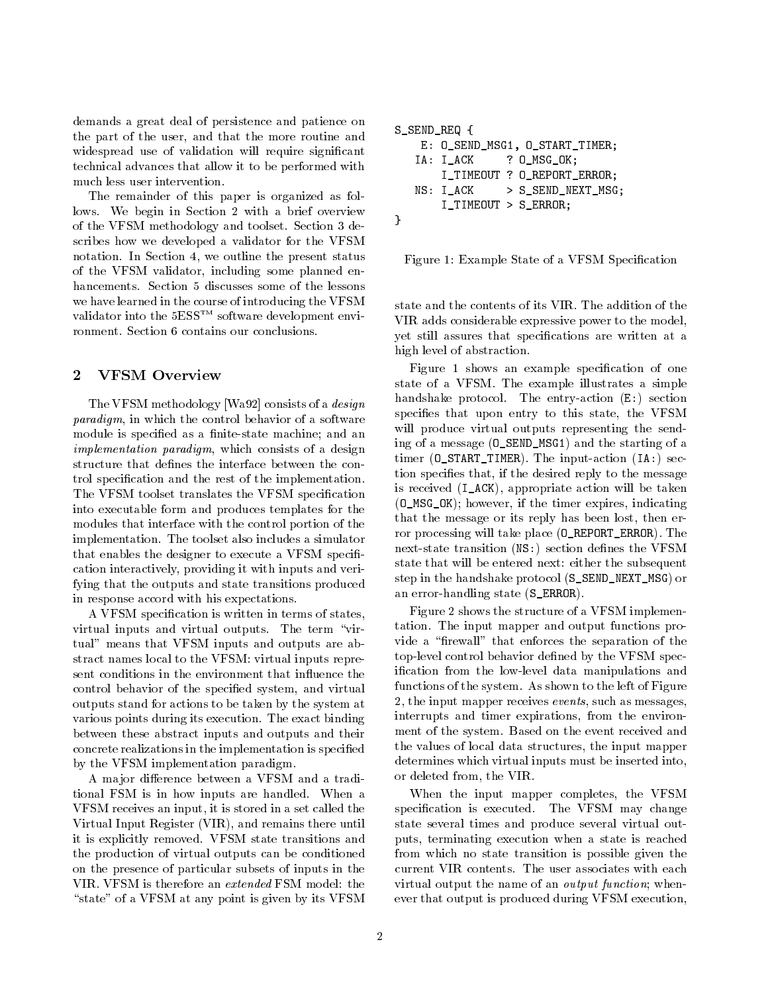demands a great deal of persistence and patience on the part of the user, and that the more routine and widespread use of validation will require significant technical advances that allow it to be performed with much less user intervention.

The remainder of this paper is organized as follows. We begin in Section 2 with a brief overview of the VFSM methodology and toolset. Section 3 describes how we developed a validator for the VFSM notation. In Section 4, we outline the present status of the VFSM validator, including some planned en hancements. Section 5 discusses some of the lessons we have learned in the course of introducing the VFSM validator into the  $5ESS^{TM}$  software development environment. Section 6 contains our conclusions.

## <sup>2</sup> VFSM Overview

The VFSM methodology [Wa92] consists of a design paradigm, in which the control behavior of a software module is specified as a finite-state machine; and an implementation paradigm, which consists of a design structure that defines the interface between the control specication and the rest of the implementation. The VFSM toolset translates the VFSM specification into executable form and produces templates for the  $(0.759-0K)$ , nowever, if the timer express, indicating<br>modules that interface with the control portion of the that the message or its reply has been lost, then ermodules that interface with the control portion of the implementation. The toolset also includes a simulator that enables the designer to execute a VFSM specification interactively, providing it with inputs and verifying that the outputs and state transitions produced in response accord with his expectations.

A VFSM specication is written in terms of states, virtual inputs and virtual outputs. The term "virtual" means that VFSM inputs and outputs are abstract names local to the VFSM: virtual inputs repre sent conditions in the environment that influence the control behavior of the specied system, and virtual outputs stand for actions to be taken by the system at various points during its execution. The exact binding between these abstract inputs and outputs and their concrete realizations in the implementation is specied by the VFSM implementation paradigm.

A major difference between a VFSM and a traditional FSM is in how inputs are handled. When a VFSM receives an input, it is stored in a set called the Virtual Input Register (VIR), and remains there until it is explicitly removed. VFSM state transitions and the production of virtual outputs can be conditioned on the presence of particular subsets of inputs in the VIR. VFSM is therefore an extended FSM model: the "state" of a VFSM at any point is given by its VFSM

```
S_SEND_REQ {
   E: O_SEND_MSG1, O_START_TIMER;
  IA: I_ACK ? O_MSG_OK;
      I_TIMEOUT ? O_REPORT_ERROR;
  NS: I_ACK > S_SEND_NEXT_MSG;
      I_TIMEOUT > S_ERROR;
```
}



state and the contents of its VIR. The addition of the VIR adds considerable expressive power to the model, yet still assures that specications are written at a high level of abstraction.

Figure 1 shows an example specification of one state of a VFSM. The example illustrates a simple handshake protocol. The entry-action (E:) section specifies that upon entry to this state, the VFSM will produce virtual outputs representing the sending of a message (O\_SEND\_MSG1) and the starting of a timer (O\_START\_TIMER). The input-action (IA:) sec tion specifies that, if the desired reply to the message is received (I\_ACK), appropriate action will be taken (O\_MSG\_OK); however, if the timer expires, indicating ror processing will take place ( $O$ \_REPORT\_ERROR). The next-state transition (NS:) section defines the VFSM state that will be entered next: either the subsequent step in the handshake protocol (S\_SEND\_NEXT\_MSG) or an error-handling state (S\_ERROR).

Figure 2 shows the structure of a VFSM implementation. The input mapper and output functions provide a "firewall" that enforces the separation of the top-level control behavior defined by the VFSM specication from the low-level data manipulations and functions of the system. As shown to the left of Figure 2, the input mapper receives events, such as messages, interrupts and timer expirations, from the environ ment of the system. Based on the event received and the values of local data structures, the input mapper determines which virtual inputs must be inserted into, or deleted from, the VIR.

When the input mapper completes, the VFSM specification is executed. The VFSM may change state several times and produce several virtual outputs, terminating execution when a state is reached from which no state transition is possible given the current VIR contents. The user associates with each virtual output the name of an output function; when ever that output is produced during VFSM execution,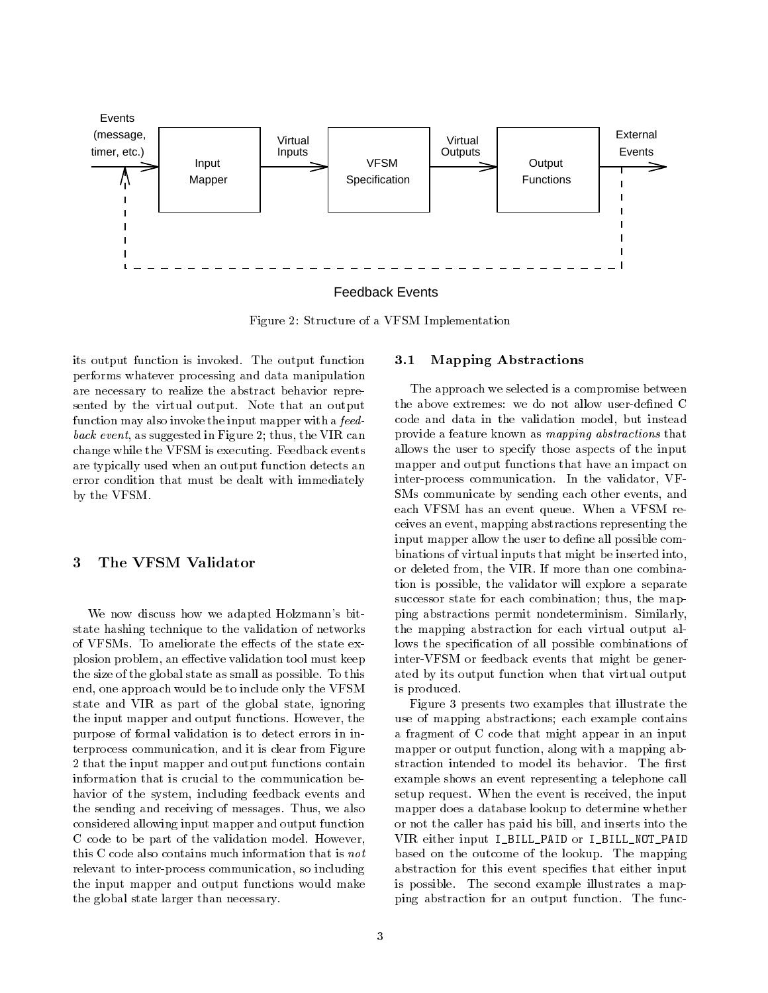

Feedback Events

Figure 2: Structure of a VFSM Implementation

its output function is invoked. The output function 3.1 performs whatever processing and data manipulation are necessary to realize the abstract behavior repre sented by the virtual output. Note that an output function may also invoke the input mapper with a feedback event, as suggested in Figure 2; thus, the VIR can change while the VFSM is executing. Feedback events are typically used when an output function detects an error condition that must be dealt with immediately by the VFSM.

#### The VFSM Validator 3

We now discuss how we adapted Holzmann's bitstate hashing technique to the validation of networks of VFSMs. To ameliorate the effects of the state explosion problem, an effective validation tool must keep the size of the global state as small as possible. To this end, one approach would be to include only the VFSM state and VIR as part of the global state, ignoring the input mapper and output functions. However, the purpose of formal validation is to detect errors in interprocess communication, and it is clear from Figure 2 that the input mapper and output functions contain information that is crucial to the communication behavior of the system, including feedback events and the sending and receiving of messages. Thus, we also considered allowing input mapper and output function C code to be part of the validation model. However, this C code also contains much information that is not relevant to inter-process communication, so including the input mapper and output functions would make the global state larger than necessary.

#### Mapping Abstractions

The approach we selected is a compromise between the above extremes: we do not allow user-defined C code and data in the validation model, but instead provide a feature known as mapping abstractions that allows the user to specify those aspects of the input mapper and output functions that have an impact on inter-process communication. In the validator, VF-SMs communicate by sending each other events, and each VFSM has an event queue. When a VFSM re ceives an event, mapping abstractions representing the input mapper allow the user to define all possible combinations of virtual inputs that might be inserted into, or deleted from, the VIR. If more than one combination is possible, the validator will explore a separate successor state for each combination; thus, the mapping abstractions permit nondeterminism. Similarly, the mapping abstraction for each virtual output allows the specification of all possible combinations of inter-VFSM or feedback events that might be generated by its output function when that virtual output is produced.

Figure 3 presents two examples that illustrate the use of mapping abstractions; each example contains a fragment of C code that might appear in an input mapper or output function, along with a mapping abstraction intended to model its behavior. The first example shows an event representing a telephone call setup request. When the event is received, the input mapper does a database lookup to determine whether or not the caller has paid his bill, and inserts into the VIR either input I\_BILL\_PAID or I\_BILL\_NOT\_PAID based on the outcome of the lookup. The mapping abstraction for this event specifies that either input is possible. The second example illustrates a mapping abstraction for an output function. The func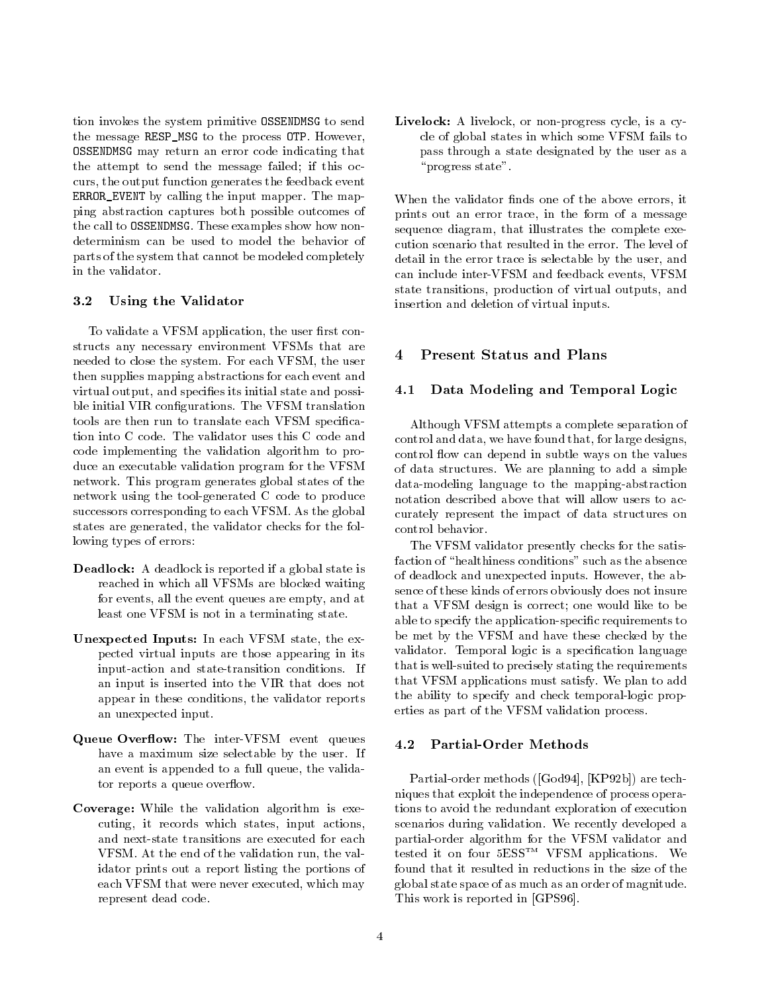tion invokes the system primitive OSSENDMSG to send the message RESP\_MSG to the process OTP. However, OSSENDMSG may return an error code indicating that the attempt to send the message failed; if this oc curs, the output function generates the feedback event ERROR\_EVENT by calling the input mapper. The mapping abstraction captures both possible outcomes of the call to OSSENDMSG. These examples show how non determinism canbe used to model the behavior of parts of the system that cannot be modeled completely in the validator.

#### 3.2 Using the Validator

To validate a VFSM application, the user first constructs any necessary environment VFSMs that are  $\frac{1}{4}$ needed to close the system. For each VFSM, the user then supplies mapping abstractions for each event and virtual output, and specifies its initial state and possible initial VIR configurations. The VFSM translation tools are then run to translate each VFSM specication into C code. The validator uses this C code and code implementing the validation algorithm to produce an executable validation program for the VFSM network. This program generates global states of the network using the tool-generated C code to produce successors corresponding to each VFSM. As the global states are generated, the validator checks for the following types of errors:

- Deadlock: A deadlock is reported if a global state is reached in which all VFSMs are blocked waiting for events, all the event queues are empty, and at least one VFSM is not in a terminating state.
- Unexpected Inputs: In each VFSM state, the ex pected virtual inputs are those appearing in its input-action and state-transition conditions. If an input is inserted into the VIR that does not appear in these conditions, the validator reports an unexpected input.
- $\alpha$ ueue Overnow: The inter-VFSM event queues  $\alpha$ have a maximum size selectable by the user. If an event is appended to a full queue, the validator reports a queue overflow.
- Coverage: While the validation algorithm is executing, it records which states, input actions, and next-state transitions are executed for each VFSM. At the end of the validation run, the validator prints out a report listing the portions of each VFSM that were never executed, which may represent dead code.

 $\blacksquare$ cle of global states in which some VFSM fails to pass through a state designated by the user as a "progress state".

When the validator finds one of the above errors, it prints out an error trace, in the form of a message sequence diagram, that illustrates the complete exe cution scenario that resulted in the error. The level of detail in the error trace is selectable by the user, and can include inter-VFSM and feedback events, VFSM state transitions, production of virtual outputs, and insertion and deletion of virtual inputs.

## <sup>4</sup> Present Status and Plans

### 4.1 Data Modeling and Temporal Logic

Although VFSM attempts a complete separation of control and data, we have found that, for large designs, control flow can depend in subtle ways on the values of data structures. We are planning to add a simple data-modeling language to the mapping-abstraction notation described above that will allow users to accurately represent the impact of data structures on control behavior.

The VFSM validator presently checks for the satisfaction of "healthiness conditions" such as the absence of deadlock and unexpected inputs. However, the absence of these kinds of errors obviously does not insure that a VFSM design is correct; one would like to be able to specify the application-specific requirements to be met by the VFSM and have these checked by the validator. Temporal logic is a specification language that is well-suited to precisely stating the requirements that VFSM applications must satisfy. We plan to add the ability to specify and check temporal-logic properties as part of the VFSM validation process.

#### Partial-Order Methods

Partial-order methods ([God94], [KP92b]) are techniques that exploit the independence of process operations to avoid the redundant exploration of execution scenarios during validation. We recently developed a partial-order algorithm for the VFSM validator and tested it on four  $5ESS^{TM}$  VFSM applications. We found that it resulted in reductions in the size of the global state space of as much as an order of magnitude. This work is reported in [GPS96].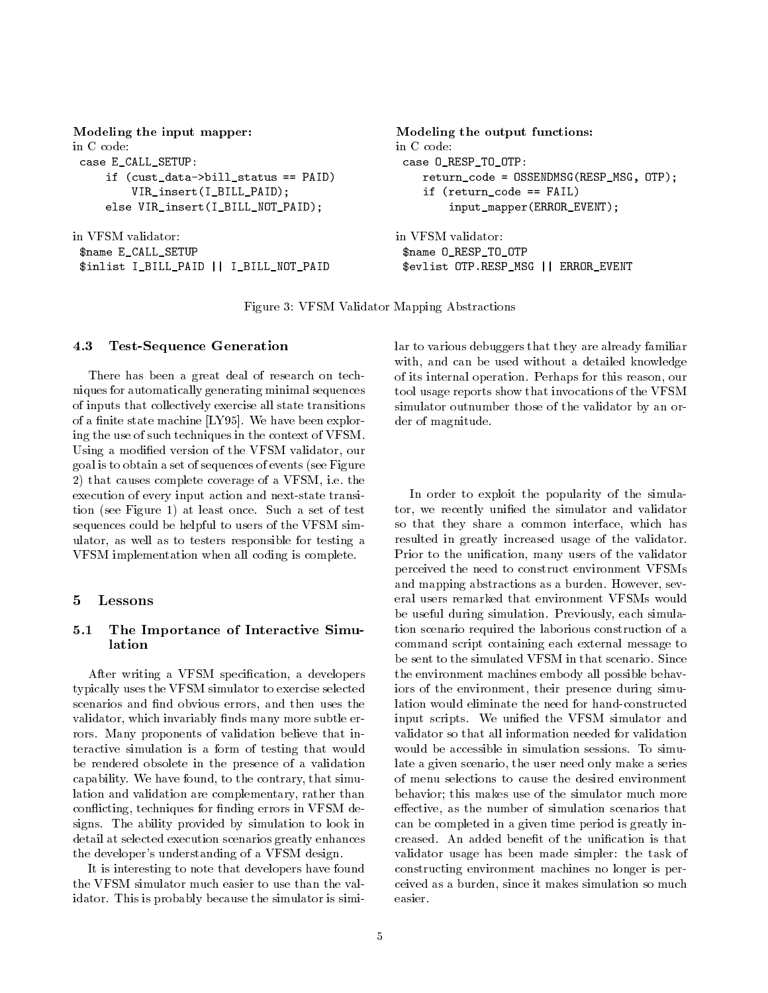```
Modeling the input mapper:
                                       Modeling the output functions:
case E_CALL_SETUP: ease O_RESP_TO_OTP:
    if (cust_data->bill_status == PAID) return_code = OSSENDMSG(RESP_MSG, OTP);
       VIR_insert(I_BILL_PAID); if (return_code == FAIL)
    else VIR_insert(I_BILL_NOT_PAID); input_mapper(ERROR_EVENT);
in VFSM validator:
                                       in VFSM validator:
$name E CALL SETUP
                                        $name O RESP TO OTP
 $name E_CALL_SETUP $name O_RESP_TO_OTP
$inlist I_BILL_PAID || I_BILL_NOT_PAID $evlist OTP.RESP_MSG || ERROR_EVENT
```
Figure 3: VFSM Validator Mapping Abstractions

#### 4.3 Test-Sequence Generation

There has been a great deal of research on techniques for automatically generating minimal sequences of inputs that collectively exercise all state transitions of a finite state machine  $[LY95]$ . We have been exploring the use of such techniques in the context of VFSM. Using a modied version of the VFSM validator, our goal is to obtain a set of sequences of events (see Figure 2) that causes complete coverage of a VFSM, i.e. the execution of every input action and next-state transition (see Figure 1) at least once. Such a set of test sequences could be helpful to users of the VFSM simulator, as well as to testers responsible for testing a VFSM implementation when all coding is complete.

#### $5.1$ The Importance of Interactive Simulation

After writing a VFSM specication, a developers typically uses the VFSM simulator to exercise selected scenarios and find obvious errors, and then uses the validator, which invariably finds many more subtle errors. Many proponents of validation believe that interactive simulation is a form of testing that would be rendered obsolete in the presence of a validation capability. We have found, to the contrary, that simulation and validation are complementary, rather than conflicting, techniques for finding errors in VFSM designs. The ability provided by simulation to look in detail at selected execution scenarios greatly enhances the developer's understanding of a VFSM design.

It is interesting to note that developers have found the VFSM simulator much easier to use than the validator. This is probably because the simulator is similar to various debuggers that they are already familiar with, and can be used without a detailed knowledge of its internal operation. Perhaps for this reason, our tool usage reports show that invocations of the VFSM simulator outnumber those of the validator by an order of magnitude.

In order to exploit the popularity of the simulator, we recently unied the simulator and validator so that they share a common interface, which has resulted in greatly increased usage of the validator. Prior to the unication, many users of the validator perceived the need to construct environment VFSMs and mapping abstractions as a burden. However, several users remarked that environment VFSMs would be useful during simulation. Previously, each simulation scenario required the laborious construction of a command script containing each external message to be sent to the simulated VFSM in that scenario. Since the environment machines embody all possible behaviors of the environment, their presence during simulation would eliminate the need for hand-constructed input scripts. We unied the VFSM simulator and validator so that all information needed for validation would be accessible in simulation sessions. To simulate a given scenario, the user need only make a series of menu selections to cause the desired environment behavior; this makes use of the simulator much more effective, as the number of simulation scenarios that can be completed in a given time period is greatly increased. An added benet of the unication is that validator usage has been made simpler: the task of constructing environment machines no longer is perceived as a burden, since it makes simulation so much easier.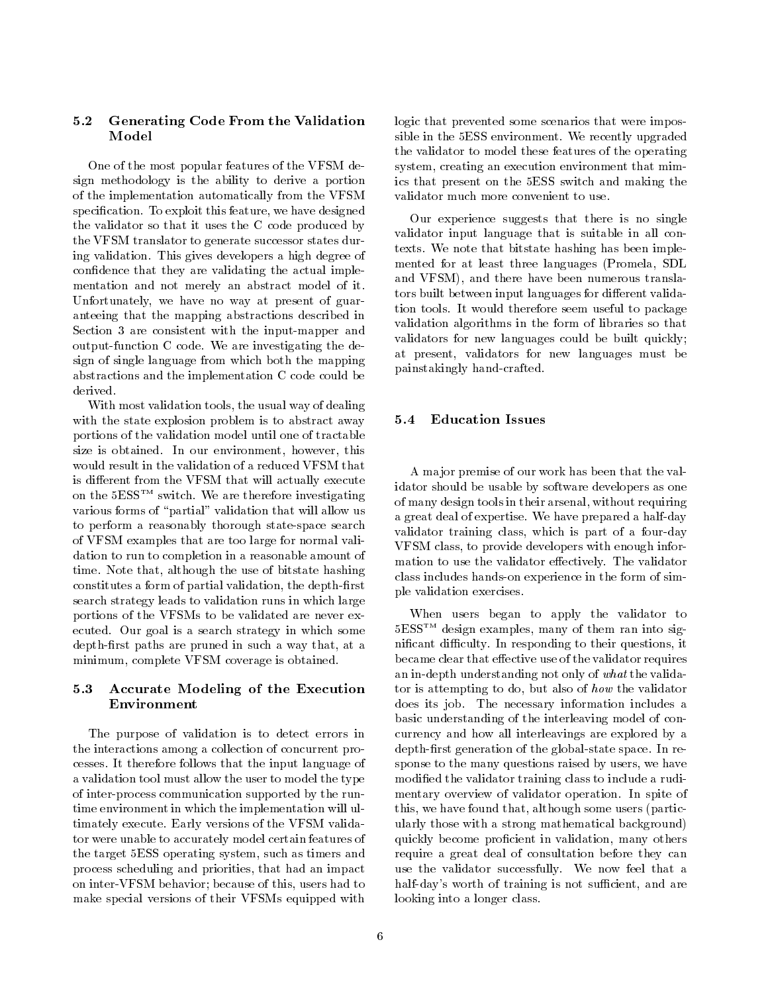#### $5.2$ 5.2 Generating Code From the Validation Model

One of the most popular features of the VFSM design methodology is the ability to derive a portion of the implementation automatically from the VFSM specification. To exploit this feature, we have designed the validator so that it uses the C code produced by the VFSM translator to generate successor states during validation. This gives developers a high degree of condence that they are validating the actual imple mentation and not merely an abstract model of it. Unfortunately, we have no way at present of guar anteeing that the mapping abstractions described in Section 3 are consistent with the input-mapper and output-function C code. We are investigating the design of single language from which both the mapping abstractions and the implementation C code could be derived.

With most validation tools, the usual way of dealing with the state explosion problem is to abstract away portions of the validation model until one of tractable size is obtained. In our environment, however, this would result in the validation of a reduced VFSM that is different from the VFSM that will actually execute on the  $5ESS<sup>TM</sup>$  switch. We are therefore investigating various forms of "partial" validation that will allow us to perform a reasonably thorough state-space search of VFSM examples that are too large for normal validation to run to completion in a reasonable amount of time. Note that, although the use of bitstate hashing constitutes a form of partial validation, the depth-first search strategy leads to validation runs in which large portions of the VFSMs to be validated are never ex ecuted. Our goal is a search strategy in which some depth-first paths are pruned in such a way that, at a minimum, complete VFSM coverage is obtained.

## 5.3 Accurate Modeling of the Execution Environment

The purpose of validation is to detect errors in the interactions among a collection of concurrent pro cesses. It therefore follows that the input language of a validation tool must allow the user to model the type of inter-process communication supported by the runtime environment in which the implementation will ultimately execute. Early versions of the VFSM validator were unable to accurately model certain features of the target 5ESS operating system, such as timers and process scheduling and priorities, that had an impact on inter-VFSM behavior; because of this, users had to make special versions of their VFSMs equipped with logic that prevented some scenarios that were impossible in the 5ESS environment. We recently upgraded the validator to model these features of the operating system, creating an execution environment that mimics that present on the 5ESS switch and making the validator much more convenient to use.

Our experience suggests that there is no single validator input language that is suitable in all con texts. We note that bitstate hashing has been imple mented for at least three languages (Promela, SDL and VFSM), and there have been numerous translators built between input languages for different validation tools. It would therefore seem useful to package validation algorithms in the form of libraries so that validators for new languages could be built quickly; at present, validators for new languages must be painstakingly hand-crafted.

#### $5.4$ 5.4 Education Issues

A ma jor premise of our work has been that the validator should be usable by software developers as one of many design tools in their arsenal, without requiring a great deal of expertise. We have prepared a half-day validator training class, which is part of a four-day VFSM class, to provide developers with enough information to use the validator effectively. The validator class includes hands-on experience in the form of simple validation exercises.

When users began to apply the validator to  $5ESS<sup>TM</sup>$  design examples, many of them ran into significant difficulty. In responding to their questions, it became clear that effective use of the validator requires an in-depth understanding not only of what the validator is attempting to do, but also of how the validator does its job. The necessary information includes a basic understanding of the interleaving model of concurrency and how all interleavings are explored by a depth-first generation of the global-state space. In response to the many questions raised by users, we have modied the validator training class to include a rudi mentary overview of validator operation. In spite of this, we have found that, although some users (particularly those with a strong mathematical background) quickly become proficient in validation, many others require a great deal of consultation before they can use the validator successfully. We now feel that a half-day's worth of training is not sufficient, and are looking into a longer class.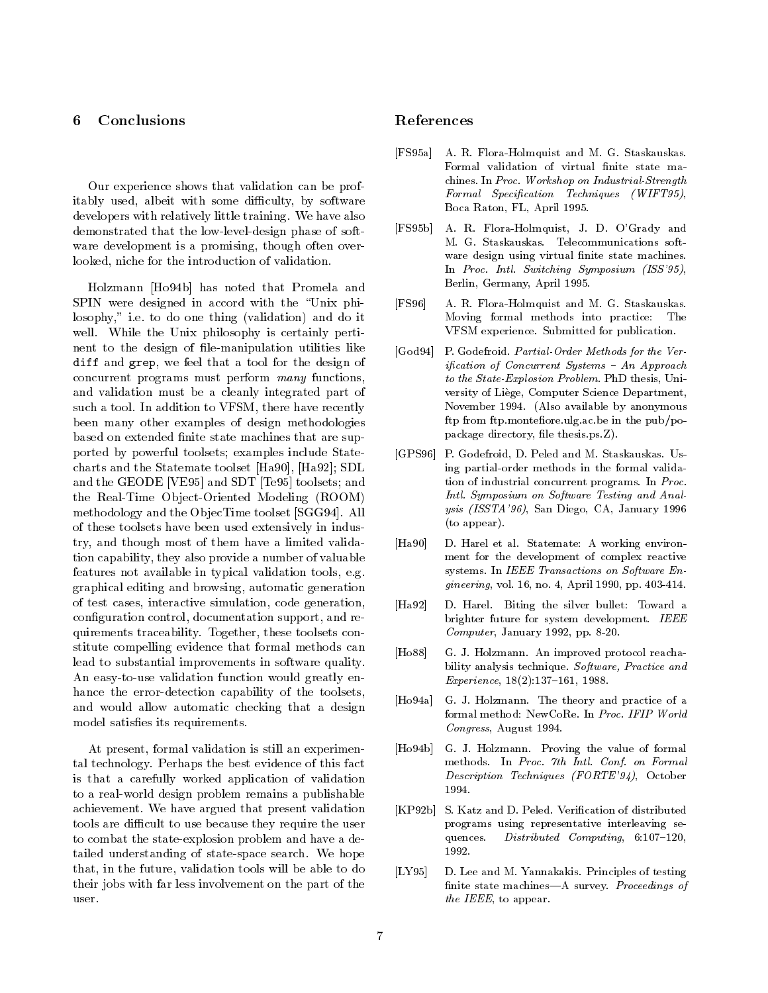#### Conclusions 6

Our experience shows that validation can be profitably used, albeit with some difficulty, by software developers with relatively little training. We have also demonstrated that the low-level-design phase of soft ware development is a promising, though often overlooked, niche for the introduction of validation.

Holzmann [Ho94b] has noted that Promela and SPIN were designed in accord with the "Unix philosophy," i.e. to do one thing (validation) and do it well. While the Unix philosophy is certainly perti nent to the design of file-manipulation utilities like [God94] diff and grep, we feel that a tool for the design of concurrent programs must perform many functions, and validation must be a cleanly integrated part of such a tool. In addition to VFSM, there have recently been many other examples of design methodologies based on extended finite state machines that are supported by powerful toolsets; examples include State charts and the Statemate toolset [Ha90], [Ha92]; SDL and the GEODE [VE95] and SDT [Te95] toolsets; and the Real-Time Ob ject-Oriented Modeling (ROOM) methodology and the ObjecTime toolset [SGG94]. All of these toolsets have been used extensively in industry, and though most of them have a limited validation capability, they also provide a number of valuable features not available in typical validation tools, e.g. graphical editing and browsing, automatic generation of test cases, interactive simulation, code generation, configuration control, documentation support, and requirements traceability. Together, these toolsets constitute compelling evidence that formal methods can [Ho88] lead to substantial improvements in software quality. An easy-to-use validation function would greatly enhance the error-detection capability of the toolsets, and would allow automatic checking that a design model satisfies its requirements.

At present, formal validation is still an experimental technology. Perhaps the best evidence of this fact is that a carefully worked application of validation to a real-world design problem remains a publishable achievement. We have argued that present validation tools are difficult to use because they require the user to combat the state-explosion problem and have a detailed understanding of state-space search. We hope that, in the future, validation tools will be able to do their jobs with far less involvement on the part of the user.

#### References

- [FS95a] A. R. Flora-Holmquist and M. G. Staskauskas. Formal validation of virtual finite state machines. In Proc. Workshop on Industrial-Strength Formal Specification Techniques (WIFT95), Boca Raton, FL, April 1995.
- [FS95b] A. R. Flora-Holmquist, J. D. O'Grady and M. G. Staskauskas. Telecommunications soft ware design using virtual finite state machines. In Proc. Intl. Switching Symposium (ISS'95), Berlin, Germany, April 1995.
- [FS96] A. R. Flora-Holmquist and M. G. Staskauskas. Moving formal methods into practice: The VFSM experience. Submitted for publication.
- P. Godefroid. Partial-Order Methods for the Ver $ification of Concurrent Systems - An Approach$ to the State-Explosion Problem. PhD thesis, Uni versity of Liege, Computer Science Department, November 1994. (Also available by anonymous ftp from ftp.montefiore.ulg.ac.be in the pub/popackage directory, file thesis.ps.Z).
- [GPS96] P. Godefroid, D. Peled and M. Staskauskas. Using partial-order methods in the formal validation of industrial concurrent programs. In Proc. Intl. Symposium on Software Testing and Analysis (ISSTA'96), San Diego, CA, January 1996 (to appear).
- [Ha90] D. Harel et al. Statemate: A working environ ment for the development of complex reactive systems. In IEEE Transactions on Software Engineering, vol. 16, no. 4, April 1990, pp. 403-414.
- [Ha92] D. Harel. Biting the silver bullet: Toward a brighter future for system development. IEEE Computer, January 1992, pp. 8-20.
- G. J. Holzmann. An improved protocol reachability analysis technique. Software, Practice and  $Experimentce, 18(2):137-161, 1988.$
- [Ho94a] G. J. Holzmann. The theory and practice of a formal method: NewCoRe. In Proc. IFIP World Congress, August 1994.
- [Ho94b] G. J. Holzmann. Proving the value of formal methods. In Proc. 7th Intl. Conf. on Formal Description Techniques (FORTE'94), October 1994.
- S. Katz and D. Peled. Verification of distributed programs using representative interleaving se-  $Distributed\; Computing,\; 6:107–120,$ quences. 1992.
- D. Lee and M. Yannakakis. Principles of testing finite state machines—A survey. Proceedings of the IEEE, to appear.